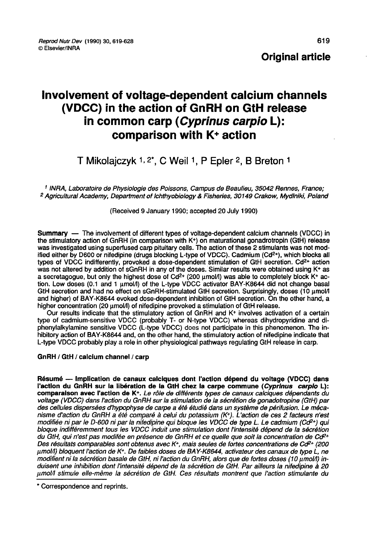# Involvement of voltage-dependent calcium channels (VDCC) in the action of GnRH on GtH release in common carp (Cyprinus carpio L): comparison with K+ action

# T Mikolaiczyk 1, 2\*, C Weil 1, P Epler 2, B Breton 1

<sup>1</sup> INRA, Laboratoire de Physiologie des Poissons, Campus de Beaulieu, 35042 Rennes, France;<br><sup>2</sup> Agricultural Academy, Department of Ichthyobiology & Fisheries, 30149 Crakow, Mydlniki, Poland

#### (Received 9 January 1990; accepted 20 July 1990)

Summary ― The involvement of different types of voltage-dependent calcium channels (VDCC) in the stimulatory action of GnRH (in comparison with K+) on maturational gonadrotropin (GtH) release was investigated using superfused carp pituitary cells. The action of these 2 stimulants was not modified either by D600 or nifedipine (drugs blocking L-type of VDCC). Cadmium (Cd<sup>2+</sup>), which blocks all types of VDCC indifferently, provoked a dose-dependent stimulation of GtH secretion. Cd2+ action was not altered by addition of sGnRH in any of the doses. Similar results were obtained using K<sup>+</sup> as a secretagogue, but only the highest dose of Cd<sup>2+</sup> (200  $\mu$ mol/l) was able to completely block K+ action. Low doses (0.1 and 1 µmol/l) of the L-type VDCC activator BAY-K8644 did not change basal GtH secretion and had no effect on sGnRH-stimulated GtH secretion. Surprisingly, doses (10 µmol/l and higher) of BAY-K8644 evoked dose-dependent inhibition of GtH secretion. On the other hand, a higher concentration (20 umol/l) of nifedipine provoked a stimulation of GtH release.

Our results indicate that the stimulatory action of GnRH and K+ involves activation of a certain type of cadmium-sensitive VDCC (probably T- or N-type VDCC) whereas dihydropyridine and diphenylalkylamine sensitive VDCC (L-type VDCC) does not participate in this phenomenon. The inhibitory action of BAY-K8644 and, on the other hand, the stimulatory action of nifedipine indicate that L-type VDCC probably play a role in other physiological pathways regulating GtH release in carp.

#### GnRH / GtH / calcium channel / carp

Résumé ― Implication de canaux calciques dont l'action dépend du voltage (VDCC) dans l'action du GnRH sur la libération de la GtH chez la carpe commune (Cyprinus carpio L): comparaison avec l'action de K+. Le rôle de différents types de canaux calciques dépendants du voltage (VDCC) dans I action du GnRH sur la stimulation de la sécrétion de gonadotropine (GtH) par des cellules dispersées d'hypophyse de carpe a été étudié dans un système de périfusion. Le mécanisme d'action du GnRH a été comparé à celui du potassium (K+). L'action de ces 2 facteurs n'est modifiée ni par le D-600 ni par la nifedipine qui bloque les VDCC de type L. Le cadmium (Cd<sup>2+</sup>) qui bloque indifféremment tous les VDCC induit une stimulation dont l'intensité dépend de la sécrétion<br>du GtH, qui n'est pas modifée en présence de GnRH et ce quelle que soit la concentration de Cd<sup>2+</sup> Des résultats comparables sont obtenus avec K+, mais seules de fortes concentrations de Cd<sup>2+</sup> (200 pmolll) bloquent l'action de K+. De faibles doses de BAY-K8644, activateur des canaux de type L, ne modifient ni la sécrétion basale de GtH, ni l'action du GnRH, alors que de fortes doses (10 µmol/l) induisent une inhibition dont l'intensité dépend de la sécrétion de GtH. Par ailleurs la nifedipine à 20 pmolll stimule elle-même la sécrétion de GtH. Ces résultats montrent que l'action stimulante du

<sup>\*</sup> Correspondence and reprints.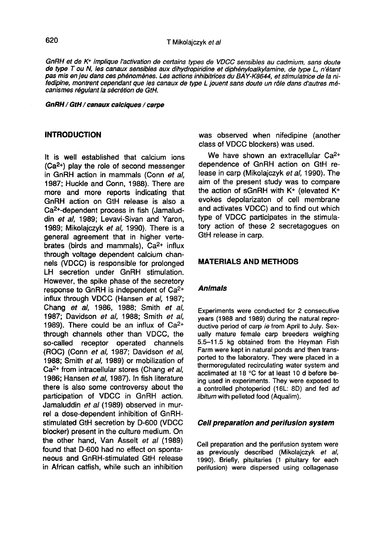GnRN et de K+ implique l'activation de certains types de VDCC sensibles au cadmium, sans doute de type T ou N, les canaux sensibles aux dihydropiridine et diphényloalkylamine, de type L, n'étant pas mis en jeu dans ces phénomènes. Les actions inhibitrices du BAY K8644, et stimulatrice de la nifedipine, montrent cependant que les canaux de type L jouent sans doute un rôle dans d'autres mécanismes régulant la sécrétion de GtH.

#### GnRH / GtH / canaux calciques / carpe

#### **INTRODUCTION**

It is well established that calcium ions  $(Ca<sup>2+</sup>)$  play the role of second messenger in GnRH action in mammals (Conn et al, 1987; Huckle and Conn, 1988). There are more and more reports indicating that GnRH action on GtH release is also a 1987; Huckle and Conn, 1988). There are<br>more and more reports indicating that<br>GnRH action on GtH release is also a<br>Ca<sup>2+</sup>-dependent process in fish (Jamalud-<br>din *et al*, 1989; Levavi-Sivan and Yaron, din et al. 1989; Levavi-Sivan and Yaron, 1989; Mikolajczyk et al, 1990). There is a general agreement that in higher vertebrates (birds and mammals), Ca2+ influx through voltage dependent calcium channels (VDCC) is responsible for prolonged LH secretion under GnRH stimulation. However, the spike phase of the secretory response to GnRH is independent of Ca2+ influx through VDCC (Hansen et al, 1987; Chang et al, 1986, 1988; Smith et al, 1987; Davidson et al, 1988; Smith et al, 1989). There could be an influx of Ca2+ through channels other than VDCC, the so-called receptor operated channels (ROC) (Conn et al, 1987; Davidson et al, 1988; Smith et al, 1989) or mobilization of Ca2+ from intracellular stores (Chang et al, 1986; Hansen et al, 1987). In fish literature there is also some controversy about the participation of VDCC in GnRH action. Jamaluddin et al (1989) observed in murrel a dose-dependent inhibition of GnRHstimulated GtH secretion by D-600 (VDCC blocker) present in the culture medium. On the other hand, Van Asselt et al (1989) found that D-600 had no effect on sponta neous and GnRH-stimulated GtH release in African catfish, while such an inhibition

was observed when nifedipine (another class of VDCC blockers) was used.

We have shown an extracellular Ca<sup>2+</sup> dependence of GnRH action on GtH release in carp (Mikolajczyk et al, 1990). The aim of the present study was to compare the action of sGnRH with K+ (elevated K+ evokes depolarizaton of cell membrane and activates VDCC) and to find out which type of VDCC participates in the stimulatory action of these 2 secretagogues on GtH release in carp.

#### MATERIALS AND METHODS

#### Animals

Experiments were conducted for 2 consecutive years (1988 and 1989) during the natural reproductive period of carp ie from April to July. Sexually mature female carp breeders weighing 5.5-11.5 kg obtained from the Heyman Fish Farm were kept in natural ponds and then transported to the laboratory. They were placed in a thermoregulated recirculating water system and acclimated at 18 °C for at least 10 d before being used in experiments. They were exposed to a controlled photoperiod (16L: 8D) and fed ad libitum with pelleted food (Aqualim).

#### Cell preparation and perifusion system

Cell preparation and the perifusion system were as previously described (Mikolajczyk et al, 1990). Briefly, pituitaries (1 pituitary for each perifusion) were dispersed using collagenase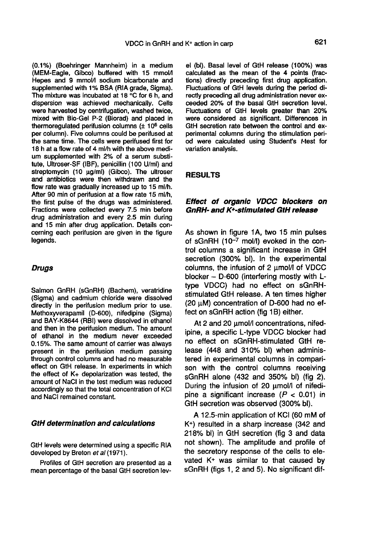(0.1%) (Boehringer Mannheim) in a medium (MEM-Eagle, Gibco) buffered with 15 mmolA Hepes and 9 mmol/I sodium bicarbonate and supplemented with 1% BSA (RIA grade, Sigma). The mixture was incubated at 18 °C for 6 h, and dispersion was achieved mechanically. Cells were harvested by centrifugation, washed twice, mixed with Bio-Gel P-2 (Biorad) and placed in thermoregulated perifusion columns  $(± 10<sup>6</sup>$  cells per column). Five columns could be perifused at the same time. The cells were perifused first for 18 h at a flow rate of 4 ml/h with the above medium supplemented with 2% of a serum substitute, Ultroser-SF (IBF), penicillin (100 U/ml) and streptomycin (10 µg/ml) (Gibco). The ultroser and antibiotics were then withdrawn and the flow rate was gradually increased up to 15 ml/h. After 90 min of perifusion at a flow rate 15 ml/h, the first pulse of the drugs was administered. Fractions were collected every 7.5 min before drug administration and every 2.5 min during and 15 min after drug application. Details concerning each perifusion are given in the figure legends.

### **Drugs**

Salmon GnRH (sGnRH) (Bachem), veratridine (Sigma) and cadmium chloride were dissolved directly in the perifusion medium prior to use. Methoxyverapamil (D-600), nifedipine (Sigma) and BAY-K8644 (RBI) were dissolved in ethanol and then in the perifusion medium. The amount of ethanol in the medium never exceeded 0.15%. The same amount of carrier was always present in the perifusion medium passing through control columns and had no measurable effect on GtH release. In experiments in which the effect of K+ depolarization was tested, the amount of NaCl in the test medium was reduced accordingly so that the total concentration of KCI and NaCI remained constant.

#### GtH determination and calculations

GtH levels were determined using a specific RIA developed by Breton et al (1971).

Profiles of GtH secretion are presented as a mean percentage of the basal GtH secretion lev-

el (bl). Basal level of GtH release (100%) was calculated as the mean of the 4 points (fractions) directly preceding first drug application. Fluctuations of GtH levels during the period directly preceding all drug administration never exceeded 20% of the basal GtH secretion level. Fluctuations of GtH levels greater than 20% were considered as significant. Differences in GtH secretion rate between the control and experimental columns during the stimulation period were calculated using Student's t-test for variation analysis.

### RESULTS

# Effect of organic VDCC blockers on  $Gn$ RH- and  $K^+$ -stimulated GtH release

As shown in figure 1A, two 15 min pulses of sGnRH  $(10^{-7}$  mol/l) evoked in the control columns a significant increase in GtH secretion (300% bl). In the experimental columns, the infusion of  $2 \mu$ mol/I of VDCC blocker - D-600 (interfering mostly with Ltype VDCC) had no effect on sGnRHstimulated GtH release. A ten times higher (20 wM) concentration of D-600 had no effect on sGnRH action (fig 1B) either.

At 2 and 20  $\mu$ mol/I concentrations, nifedipine, a specific L-type VDCC blocker had no effect on sGnRH-stimulated GtH release (448 and 310% bl) when administered in experimental columns in compari son with the control columns receiving sGnRH alone (432 and 350% bl) (fig 2). During the infusion of 20 umol/l of nifedipine a significant increase  $(P < 0.01)$  in GtH secretion was observed (300% bl).

A 12.5-min application of KCI (60 mM of K+) resulted in a sharp increase (342 and 218% bl) in GtH secretion (fig 3 and data not shown). The amplitude and profile of the secretory response of the cells to elevated  $K<sup>+</sup>$  was similar to that caused by sGnRH (figs 1, 2 and 5). No significant dif-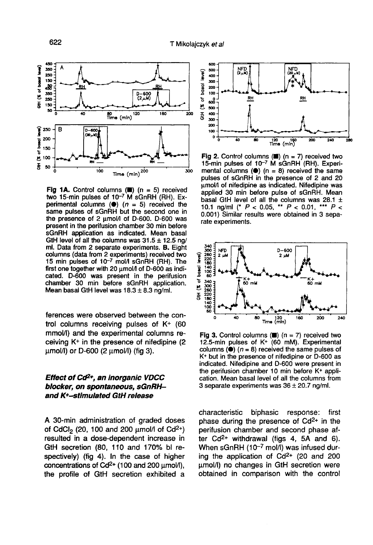

Fig 1A. Control columns ( $\blacksquare$ ) (n = 5) received two 15-min pulses of 10<sup>-7</sup> M sGnRH (RH). Experimental columns ( $\bullet$ ) ( $n = 5$ ) received the same pulses of sGnRH but the second one in the presence of 2 umol/l of D-600. D-600 was present in the perifusion chamber 30 min before sGnRH application as indicated. Mean basal GtH level of all the columns was  $31.5 \pm 12.5$  ng/ ml. Data from 2 separate experiments. B. Eight columns (data from 2 experiments) received two<br>15 min pulses of 10<sup>-7</sup> mol/l sGnRH (RH). The first one together with 20 umol/l of D-600 as indicated. D-600 was present in the perifusion chamber 30 min before sGnRH application. Mean basal GtH level was  $18.3 \pm 8.3$  ng/ml.

ferences were observed between the control columns receiving pulses of K+ (60 mmol/1) and the experimental columns receiving K+ in the presence of nifedipine (2  $\mu$ mol/l) or D-600 (2  $\mu$ mol/l) (fig 3).

# Effect of Cd2+, an inorganic VDCC blocker, on spontaneous, sGnRHand K+-stimulated GtH release

A 30-min administration of graded doses A 30-min administration of graded doses<br>of CdCl<sub>2</sub> (20, 100 and 200  $\mu$ mol/I of Cd<sup>2+</sup>)<br>resulted in a dose-dependent increase in resulted in a dose-dependent increase in GtH secretion (80, 110 and 170% bl respectively) (fig 4). In the case of higher concentrations of  $Cd^{2+}$  (100 and 200  $\mu$ mol/I), the profile of GtH secretion exhibited a



Fig 2. Control columns  $(\blacksquare)$  (n = 7) received two 15-min pulses of 10<sup>-7</sup> M sGnRH (RH). Experimental columns  $(①)$  (n = 8) received the same pulses of sGnRH in the presence of 2 and 20 umol/l of nifedipine as indicated. Nifedipine was applied 30 min before pulse of sGnRH. Mean basal GtH level of all the columns was 28.1  $\pm$ 10.1 ng/ml (\*  $P < 0.05$ , \*\*  $P < 0.01$ , \*\*\*  $P <$ 0.001) Similar results were obtained in 3 separate experiments.



Fig 3. Control columns ( $\blacksquare$ ) (n = 7) received two 12.5-min pulses of K+ (60 mM). Experimental columns ( $\bullet$ ) ( $n = 8$ ) received the same pulses of K+ but in the presence of nifedipine or D-600 as indicated. Nifedipine and D-600 were present in the perifusion chamber 10 min before K+ application. Mean basal level of all the columns from 3 separate experiments was  $36 \pm 20.7$  ng/ml.

characteristic biphasic response: first phase during the presence of  $Cd^{2+}$  in the phase during the presence of Ca<sub>2+</sub> in the<br>perifusion chamber and second phase af-<br>ter Cd<sup>2+</sup> withdrawal (figs 4, 5A and 6). When sGnRH  $(10^{-7}$  mol/l) was infused during the application of  $Cd^{2+}$  (20 and 200 umol/I) no changes in GtH secretion were obtained in comparison with the control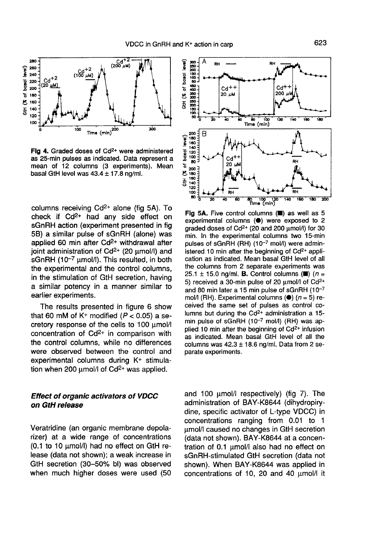

Fig 4. Graded doses of Cd<sup>2+</sup> were administered as 25-min pulses as indicated. Data represent a mean of 12 columns (3 experiments). Mean basal GtH level was  $43.4 \pm 17.8$  ng/ml.

columns receiving Cd2+ alone (fig 5A). To columns receiving  $Cd^{2+}$  alone (fig 5A). To<br>check if  $Cd^{2+}$  had any side effect on<br>cCrDU setted (superiment presented in fig. sGnRH action (experiment presented in fig 5B) a similar pulse of sGnRH (alone) was applied 60 min after Cd<sup>2+</sup> withdrawal after joint administration of  $Cd^{2+}$  (20  $\mu$ mol/l) and sGnRH  $(10^{-7} \mu \text{mol/l})$ . This resulted, in both the experimental and the control columns, in the stimulation of GtH secretion, having a similar potency in a manner similar to earlier experiments.

The results presented in figure 6 show that 60 mM of  $K^+$  modified ( $P < 0.05$ ) a se-The cretory response of the cells to 100  $\mu$ mol/I<br>concentration of Cd<sup>2+</sup> in comparison with the control columns, while no differences were observed between the control and were disserved between the control and<br>experimental columns during  $K^+$  stimula-<br>tion when 200  $\mu$ mol/I of Cd<sup>2+</sup> was applied.

# Effect of organic activators of VDCC on GtH release

Veratridine (an organic membrane depolarizer) at a wide range of concentrations  $(0.1$  to 10  $\mu$ mol/l) had no effect on GtH release (data not shown); a weak increase in GtH secretion (30-50% bl) was observed when much higher doses were used (50



Fig 5A. Five control columns (.) as well as 5 experimental columns (<sup>e</sup>) were exposed to 2 graded doses of Cd<sup>2+</sup> (20 and 200 µmol/l) for 30 min. In the experimental columns two 15-min pulses of sGnRH (RH) (10-7 mol/l) were administered 10 min after the beginning of Cd<sup>2+</sup> application as indicated. Mean basal GtH level of all the columns from 2 separate experiments was 25.1 ± 15.0 ng/ml. **B.** Control columns ( $\equiv$ ) ( $n =$ 5) received a 30-min pulse of 20  $\mu$ mol/l of Cd<sup>2+</sup> and 80 min later a 15 min pulse of sGnRH (10-7 mol/l (RH). Experimental columns  $(①)$  ( $n = 5$ ) received the same set of pulses as control columns but during the Cd<sup>2+</sup> administration a 15min pulse of sGnRH (10-7 mol/l) (RH) was applied 10 min after the beginning of Cd<sup>2+</sup> infusion as indicated. Mean basal GtH level of all the columns was  $42.3 \pm 18.6$  ng/ml. Data from 2 separate experiments.

and 100  $\mu$ mol/I respectively) (fig 7). The administration of BAY-K8644 (dihydropirydine, specific activator of L-type VDCC) in concentrations ranging from 0.01 to 1 pmol/I caused no changes in GtH secretion (data not shown). BAY-K8644 at a concentration of 0.1 umol/I also had no effect on sGnRH-stimulated GtH secretion (data not shown). When BAY-K8644 was applied in concentrations of 10, 20 and 40 µmol/l it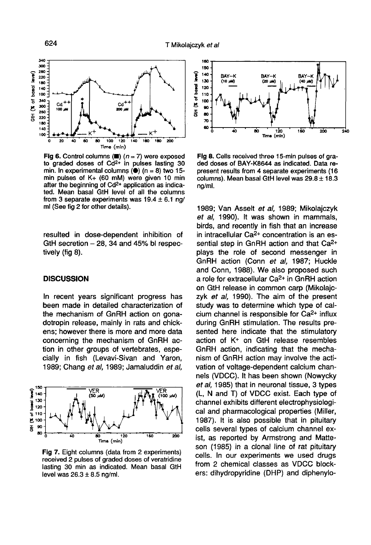

Fig 6. Control columns ( $\blacksquare$ ) ( $n = 7$ ) were exposed to graded doses of Cd<sup>2+</sup> in pulses lasting 30 min. In experimental columns ( $\bullet$ ) (n = 8) two 15min pulses of K+ (60 mM) were given 10 min after the beginning of Cd<sup>2+</sup> application as indicated. Mean basal GtH level of all the columns from 3 separate experiments was  $19.4 \pm 6.1$  ng/ ml (See fig 2 for other details).

resulted in dose-dependent inhibition of GtH secretion  $-28$ , 34 and 45% bl respectively (fig 8).

#### **DISCUSSION**

In recent years significant progress has been made in detailed characterization of the mechanism of GnRH action on gonadotropin release, mainly in rats and chickens; however there is more and more data concerning the mechanism of GnRH action in other groups of vertebrates, especially in fish (Levavi-Sivan and Yaron, 1989; Chang et al, 1989; Jamaluddin et al,



Fig 7. Eight columns (data from 2 experiments) received 2 pulses of graded doses of veratridine lasting 30 min as indicated. Mean basal GtH level was  $26.3 \pm 8.5$  ng/ml.



Fig 8. Cells received three 15-min pulses of graded doses of BAY-K8644 as indicated. Data represent results from 4 separate experiments (16 columns). Mean basal GtH level was  $29.8 \pm 18.3$ ng/ml.

1989; Van Asselt et al, 1989; Mikolajczyk et al, 1990). It was shown in mammals, birds, and recently in fish that an increase in intracellular Ca2+ concentration is an essential step in GnRH action and that Ca2+ plays the role of second messenger in GnRH action (Conn et al, 1987; Huckle and Conn, 1988). We also proposed such<br>a role for extracellular Ca<sup>2+</sup> in GnRH action<br>and C<sup>41</sup> helpes in propose such (Milelais on GtH release in common carp (Mikolajczyk et al, 1990). The aim of the present study was to determine which type of calcium channel is responsible for Ca2+ influx during GnRH stimulation. The results presented here indicate that the stimulatory action of K+ on GtH release resembles GnRH action, indicating that the mechanism of GnRH action may involve the activation of voltage-dependent calcium channels (VDCC). It has been shown (Nowycky et al, 1985) that in neuronal tissue, 3 types (L, N and T) of VDCC exist. Each type of channel exhibits different electrophysiological and pharmacological properties (Miller, 1987). It is also possible that in pituitary cells several types of calcium channel exist, as reported by Armstrong and Matteson (1985) in a clonal line of rat pituitary cells. In our experiments we used drugs from 2 chemical classes as VDCC blockers: dihydropyridine (DHP) and diphenylo-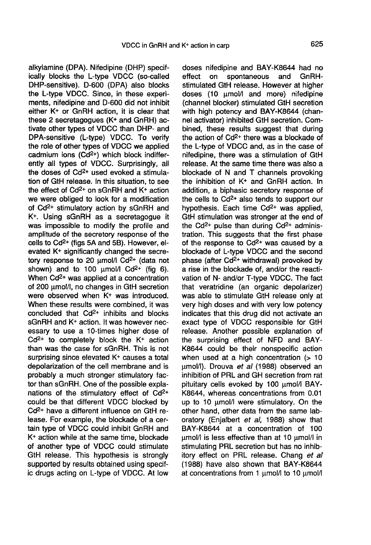alkylamine (DPA). Nifedipine (DHP) specifically blocks the L-type VDCC (so-called DHP-sensitive). D-600 (DPA) also blocks the L-type VDCC. Since, in these experiments, nifedipine and D-600 did not inhibit either K+ or GnRH action, it is clear that these 2 secretagogues (K+ and GnRH) activate other types of VDCC than DHP- and DPA-sensitive (L-type) VDCC. To verify<br>the role of other types of VDCC we applied<br>cadmium ions (Cd<sup>2+</sup>) which block indiffer-<br>ently all types of VDCC. Surprisingly, all the role of other types of VDCC we applied<br>cadmium ions  $(Cd^{2+})$  which block indifferently all types of VDCC. Surprisingly, all<br>the doses of Cd<sup>2+</sup> used evoked a stimula-<br>tion of Cd<sup>1</sup> Independent in the situation to see tion of GtH release. In this situation, to see<br>the effect of Cd<sup>2+</sup> on sGnRH and K+ action we were obliged to look for a modification of Cd2+ stimulatory action by sGnRH and K+. Using sGnRH as a secretagogue it was impossible to modify the profile and amplitude of the secretory response of the was impossible to modify the profile and<br>amplitude of the secretory response of the<br>cells to Cd<sup>2+</sup> (figs 5A and 5B). However, elbelis to Cd<sup>-1</sup> (ligs 5A and 5B). However, elevated K+ significantly changed the secre-<br>tory response to 20  $\mu$ mol/I Cd<sup>2+</sup> (data not tory response to 20  $\mu$ mol/l Cd<sup>2+</sup> (data not shown) and to 100  $\mu$ mol/l Cd<sup>2+</sup> (fig 6).<br>When Cd<sup>2+</sup> was applied at a concentration shown) and to 100  $\mu$ mol/l Cd<sup>2+</sup> (fig 6). of 200 umol/I, no changes in GtH secretion were observed when K<sup>+</sup> was introduced. When these results were combined, it was<br>concluded that  $Cd^{2+}$  inhibits and blocks concluded that  $Cd^{2+}$  inhibits and blocks sGnRH and  $K^+$  action. It was however necessary to use a 10-times higher dose of Cd2+ to completely block the K+ action than was the case for sGnRH. This is not surprising since elevated K<sup>+</sup> causes a total depolarization of the cell membrane and is probably a much stronger stimulatory factor than sGnRH. One of the possible explanations of the stimulatory effect of Cd2+ Fractions of the summatory effect of Cd-<br>
Cd<sup>2+</sup> have a different influence on GtH release. For example, the blockade of a certain type of VDCC could inhibit GnRH and K+ action while at the same time, blockade of another type of VDCC could stimulate GtH release. This hypothesis is strongly supported by results obtained using specific drugs acting on L-type of VDCC. At low

doses nifedipine and BAY-K8644 had no<br>effect on spontaneous and GnRHspontaneous stimulated GtH release. However at higher doses (10 µmol/I and more) nifedipine (channel blocker) stimulated GtH secretion with high potency and BAY-K8644 (channel activator) inhibited GtH secretion. Combined, these results suggest that during the activator) immotied currisected on. Com-<br>bined, these results suggest that during<br>the action of Cd<sup>2+</sup> there was a blockade of the L-type of VDCC and, as in the case of nifedipine, there was a stimulation of GtH release. At the same time there was also a blockade of N and T channels provoking the inhibition of K+ and GnRH action. In addition, a biphasic secretory response of the infinition of  $K<sup>T</sup>$  and Griffit action. In addition, a biphasic secretory response of the cells to  $Cd<sup>2+</sup>$  also tends to support our the cells to  $Cd^{2+}$  also tends to support our hypothesis. Each time  $Cd^{2+}$  was applied, Hypothesis. Each time Co-4 was applied,<br>GtH stimulation was stronger at the end of<br>the Cd<sup>2+</sup> pulse than during Cd<sup>2+</sup> administration. This suggests that the first phase of the response to Cd2+ was caused by a blockade of L-type VDCC and the second phase (after Cd2+ withdrawal) provoked by a rise in the blockade of, and/or the reactivation of N- and/or T-type VDCC. The fact that veratridine (an organic depolarizer) was able to stimulate GtH release only at very high doses and with very low potency indicates that this drug did not activate an exact type of VDCC responsible for GtH release. Another possible explanation of the surprising effect of NFD and BAY-K8644 could be their nonspecific action when used at a high concentration  $(> 10$ umol/l). Drouva et al (1988) observed an inhibition of PRL and GH secretion from rat pituitary cells evoked by 100 umol/l BAY-K8644, whereas concentrations from 0.01 up to 10  $\mu$ mol/I were stimulatory. On the other hand, other data from the same laboratory (Enjalbert et al, 1988) show that BAY-K8644 at a concentration of 100 umol/I is less effective than at 10 umol/I in stimulating PRL secretion but has no inhibitory effect on PRL release. Chang et al (1988) have also shown that BAY-K8644 at concentrations from 1 umol/l to 10 umol/l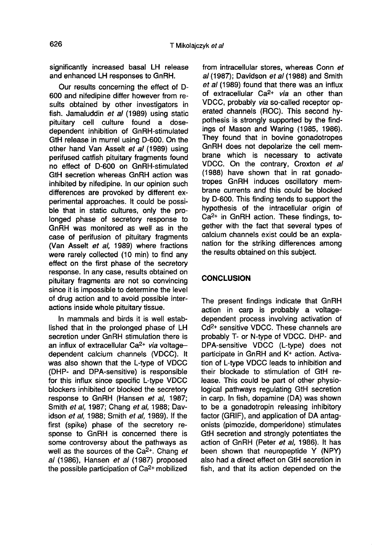significantly increased basal LH release and enhanced LH responses to GnRH.

Our results concerning the effect of D-600 and nifedipine differ however from results obtained by other investigators in fish. Jamaluddin et al (1989) using static pituitary cell culture found a dosedependent inhibition of GnRH-stimulated GtH release in murrel using D-600. On the other hand Van Asselt et al (1989) using perifused catfish pituitary fragments found no effect of D-600 on GnRH-stimulated GtH secretion whereas GnRH action was inhibited by nifedipine. In our opinion such differences are provoked by different experimental approaches. It could be possible that in static cultures, only the prolonged phase of secretory response to GnRH was monitored as well as in the case of perifusion of pituitary fragments (Van Asselt et al, 1989) where fractions were rarely collected (10 min) to find any effect on the first phase of the secretory response. In any case, results obtained on pituitary fragments are not so convincing since it is impossible to determine the level of drug action and to avoid possible interactions inside whole pituitary tissue.

In mammals and birds it is well established that in the prolonged phase of LH secretion under GnRH stimulation there is an influx of extracellular Ca<sup>2+</sup> via voltagedependent calcium channels (VDCC). It was also shown that the L-type of VDCC (DHP- and DPA-sensitive) is responsible for this influx since specific L-type VDCC blockers inhibited or blocked the secretory response to GnRH (Hansen et al, 1987; Smith et al, 1987; Chang et al, 1988; Davidson et al, 1988; Smith et al, 1989). If the first (spike) phase of the secretory response to GnRH is concerned there is some controversy about the pathways as well as the sources of the Ca<sup>2+</sup>. Chang et al (1986), Hansen et al (1987) proposed the possible participation of Ca2+ mobilized

from intracellular stores, whereas Conn et  $al$  (1987); Davidson  $et$  al (1988) and Smith et al (1989) found that there was an influx of extracellular Ca<sup>2+</sup> via an other than VDCC, probably via so-called receptor operated channels (ROC). This second hypothesis is strongly supported by the findings of Mason and Waring (1985, 1986). They found that in bovine gonadotropes GnRH does not depolarize the cell membrane which is necessary to activate VDCC. On the contrary, Croxton et al (1988) have shown that in rat gonadotropes GnRH induces oscillatory membrane currents and this could be blocked by D-600. This finding tends to support the hypothesis of the intracellular origin of by b-ood. This linding tends to support the<br>hypothesis of the intracellular origin of<br>Ca<sup>2+</sup> in GnRH action. These findings, together with the fact that several types of calcium channels exist could be an explanation for the striking differences among the results obtained on this subject.

# **CONCLUSION**

The present findings indicate that GnRH action in carp is probably a voltagedependent process involving activation of Cd2+ sensitive VDCC. These channels are probably T- or N-type of VDCC. DHP- and DPA-sensitive VDCC (L-type) does not participate in GnRH and K+ action. Activation of L-type VDCC leads to inhibition and their blockade to stimulation of GtH release. This could be part of other physiological pathways regulating GtH secretion in carp. In fish, dopamine (DA) was shown to be a gonadotropin releasing inhibitory factor (GRIF), and application of DA antagonists (pimozide, domperidone) stimulates GtH secretion and strongly potentiates the action of GnRH (Peter et al. 1986). It has been shown that neuropeptide Y (NPY) also had a direct effect on GtH secretion in fish, and that its action depended on the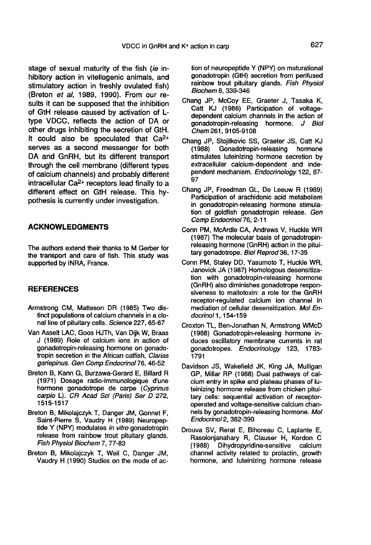stage of sexual maturity of the fish (ie inhibitory action in vitellogenic animals, and stimulatory action in freshly ovulated fish) (Breton et al, 1989, 1990). From our results it can be supposed that the inhibition of GtH release caused by activation of Ltype VDCC, reflects the action of DA or other drugs inhibiting the secretion of GtH. by the vDCC, reflects the action of DA of<br>other drugs inhibiting the secretion of GtH.<br>It could also be speculated that  $Ca^{2+}$ serves as a second messenger for both DA and GnRH, but its different transport through the cell membrane (different types of calcium channels) and probably different intracellular Ca2+ receptors lead finally to a different effect on GtH release. This hypothesis is currently under investigation.

# ACKNOWLEDGMENTS

The authors extend their thanks to M Gerber for the transport and care of fish. This study was supported by INRA, France.

#### **REFERENCES**

- Armstrong CM, Matteson DR (1985) Two distinct populations of calcium channels in a clonal line of pituitary cells. Science 227, 65-67
- Van Asselt LAC, Goos HJTh, Van Dijk W, Braas J (1989) Role of calcium ions in action of gonadotropin-releasing hormone on gonadotropin secretion in the African catfish, Clarias gariepinus. Gen Comp Endocrinol76, 46-52
- Breton B, Kann G, Burzawa-Gerard E, Billard R (1971) Dosage radio-immunologique d'une hormone gonadotrope de carpe (Cyprinus carpio L). CR Acad Sci (Paris) Ser D 272, 1515-1517
- Breton B, Mikolajczyk T, Danger JM, Gonnet F, Saint-Pierre S, Vaudry H (1989) Neuropeptide Y (NPY) modulates in vitro gonadotropin release from rainbow trout pituitary glands. Fish Physiol Biochem 7, 77-83
- Breton B, Mikolajczyk T, Weil C, Danger JM, Vaudry H (1990) Studies on the mode of ac-

tion of neuropeptide Y (NPY) on maturational gonadotropin (GtH) secretion from perifused rainbow trout pituitary glands. Fish Physiol Biochem 8, 339-346

- Chang JP, McCoy EE, Graeter J, Tasaka K, Catt KJ (1986) Participation of voltagedependent calcium channels in the action of gonadotropin-releasing hormone. J Biol Chem 261, 9105-9108
- Chang JP, Stojilkovic SS, Graeter JS, Catt KJ Gonadotropin-releasing stimulates luteinizing hormone secretion by extracellular calcium-dependent and independent mechanism. Endocrinology 122, 87- 97
- Chang JP, Freedman GL, De Leeuw R (1989) Participation of arachidonic acid metabolism in gonadotropin-releasing hormone stimulation of goldfish gonadotropin release. Gen Comp Endocrinol 76, 2-11
- Conn PM, McArdle CA, Andrews V, Huckle WR (1987) The molecular basis of gonadotropinreleasing hormone (GnRH) action in the pituitary gonadotrope. Biol Reprod 36, 17-35
- Conn PM, Staley DD, Yasumoto T, Huckle WR, Janovick JA (1987) Homologous desensitization with gonadotropin-releasing hormone (GnRH) also diminishes gonadotrope responsiveness to maitotoxin: a role for the GnRH receptor-regulated calcium ion channel in mediation of cellular desensitization. Mol Endocrinol 1, 154-159
- Croxton TL, Ben-Jonathan N, Armstrong WMcD (1988) Gonadotropin-releasing hormone induces oscillatory membrane currents in rat gonadotropes. Endocrinology 123, 1783- 1791
- Davidson JS, Wakefield JK, King JA, Mulligan GP, Millar RP (1988) Dual pathways of calcium entry in spike and plateau phases of luteinizing hormone release from chicken pituitary cells: sequential activation of receptoroperated and voltage-sensitive calcium channels by gonadotropin-releasing hormone. Mol Endocrinol2, 382-390
- Drouva SV, Rerat E, Bihoreau C, Laplante E, Rasolonjanahary R, Clauser H, Kordon C<br>(1988) Dihydropyridine-sensitive calcium Dihydropyridine-sensitive calcium channel activity related to prolactin, growth hormone, and luteinizing hormone release